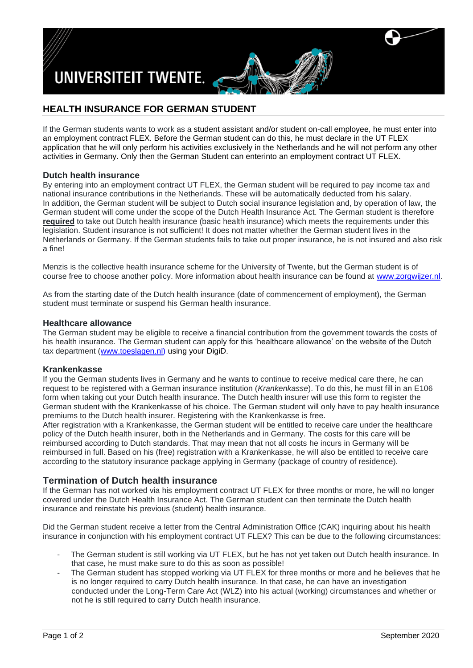

# **HEALTH INSURANCE FOR GERMAN STUDENT**

If the German students wants to work as a student assistant and/or student on-call employee, he must enter into an employment contract FLEX. Before the German student can do this, he must declare in the UT FLEX application that he will only perform his activities exclusively in the Netherlands and he will not perform any other activities in Germany. Only then the German Student can enterinto an employment contract UT FLEX.

### **Dutch health insurance**

By entering into an employment contract UT FLEX, the German student will be required to pay income tax and national insurance contributions in the Netherlands. These will be automatically deducted from his salary. In addition, the German student will be subject to Dutch social insurance legislation and, by operation of law, the German student will come under the scope of the Dutch Health Insurance Act. The German student is therefore **required** to take out Dutch health insurance (basic health insurance) which meets the requirements under this legislation. Student insurance is not sufficient! It does not matter whether the German student lives in the Netherlands or Germany. If the German students fails to take out proper insurance, he is not insured and also risk a fine!

Menzis is the collective health insurance scheme for the University of Twente, but the German student is of course free to choose another policy. More information about health insurance can be found at [www.zorgwijzer.nl.](http://www.zorgwijzer.nl/)

As from the starting date of the Dutch health insurance (date of commencement of employment), the German student must terminate or suspend his German health insurance.

#### **Healthcare allowance**

The German student may be eligible to receive a financial contribution from the government towards the costs of his health insurance. The German student can apply for this 'healthcare allowance' on the website of the Dutch tax department [\(www.toeslagen.nl\)](http://www.toeslagen.nl/) using your DigiD.

#### **Krankenkasse**

If you the German students lives in Germany and he wants to continue to receive medical care there, he can request to be registered with a German insurance institution (*Krankenkasse*). To do this, he must fill in an E106 form when taking out your Dutch health insurance. The Dutch health insurer will use this form to register the German student with the Krankenkasse of his choice. The German student will only have to pay health insurance premiums to the Dutch health insurer. Registering with the Krankenkasse is free.

After registration with a Krankenkasse, the German student will be entitled to receive care under the healthcare policy of the Dutch health insurer, both in the Netherlands and in Germany. The costs for this care will be reimbursed according to Dutch standards. That may mean that not all costs he incurs in Germany will be reimbursed in full. Based on his (free) registration with a Krankenkasse, he will also be entitled to receive care according to the statutory insurance package applying in Germany (package of country of residence).

### **Termination of Dutch health insurance**

If the German has not worked via his employment contract UT FLEX for three months or more, he will no longer covered under the Dutch Health Insurance Act. The German student can then terminate the Dutch health insurance and reinstate his previous (student) health insurance.

Did the German student receive a letter from the Central Administration Office (CAK) inquiring about his health insurance in conjunction with his employment contract UT FLEX? This can be due to the following circumstances:

- The German student is still working via UT FLEX, but he has not yet taken out Dutch health insurance. In that case, he must make sure to do this as soon as possible!
- The German student has stopped working via UT FLEX for three months or more and he believes that he is no longer required to carry Dutch health insurance. In that case, he can have an investigation conducted under the Long-Term Care Act (WLZ) into his actual (working) circumstances and whether or not he is still required to carry Dutch health insurance.